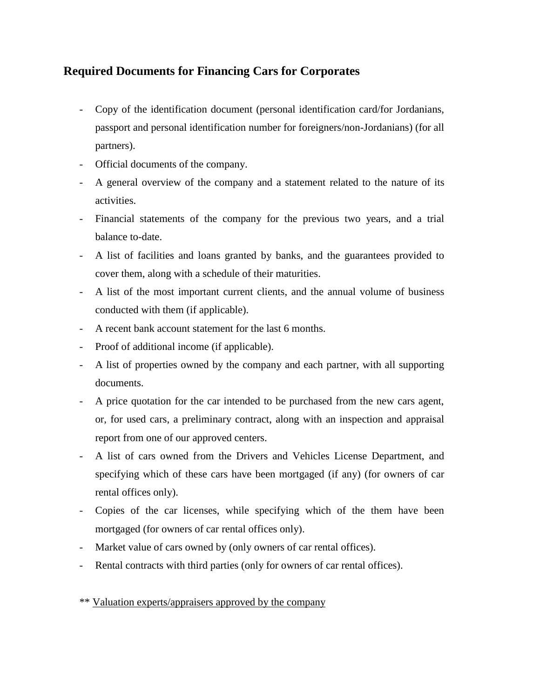## **Required Documents for Financing Cars for Corporates**

- Copy of the identification document (personal identification card/for Jordanians, passport and personal identification number for foreigners/non-Jordanians) (for all partners).
- Official documents of the company.
- A general overview of the company and a statement related to the nature of its activities.
- Financial statements of the company for the previous two years, and a trial balance to-date.
- A list of facilities and loans granted by banks, and the guarantees provided to cover them, along with a schedule of their maturities.
- A list of the most important current clients, and the annual volume of business conducted with them (if applicable).
- A recent bank account statement for the last 6 months.
- Proof of additional income (if applicable).
- A list of properties owned by the company and each partner, with all supporting documents.
- A price quotation for the car intended to be purchased from the new cars agent, or, for used cars, a preliminary contract, along with an inspection and appraisal report from one of our approved centers.
- A list of cars owned from the Drivers and Vehicles License Department, and specifying which of these cars have been mortgaged (if any) (for owners of car rental offices only).
- Copies of the car licenses, while specifying which of the them have been mortgaged (for owners of car rental offices only).
- Market value of cars owned by (only owners of car rental offices).
- Rental contracts with third parties (only for owners of car rental offices).

## \*\* Valuation experts/appraisers approved by the company